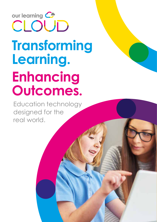# our learning C CLOUD **Transforming Learning. Enhancing Outcomes.**

Education technology designed for the real world.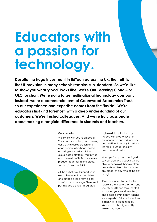# **Educators with a passion for technology.**

**Despite the huge investment in EdTech across the UK, the truth is that IT provision in many schools remains sub-standard. So we'd like to show you what 'good' looks like. We're Our Learning Cloud – or OLC for short. We're not a large multinational technology company. Instead, we're a commercial arm of Greenwood Academies Trust, so our experience and expertise comes from the 'inside'. We're educators first and foremost, with a deep understanding of our customers. We're trusted colleagues. And we're truly passionate about making a tangible difference to students and teachers.**

#### **Our core offer**

We'll work with you to embed a 21st century teaching and learning culture with collaboration and engagement at its heart, based on a single, shared, scalable cloud-based platform, that brings a whole world of EdTech software products together in one place, with single sign on (SSO).

At the outset, we'll support your executive team to write, deliver and embed a long term digital transformation strategy. Then we'll put in place a single, integrated

high availability technology system, with greater levels of harmonisation and redundancy, and intelligent security to reduce the risk of outage, security breaches or data loss.

When you're up and running with us, your staff and students will be able to access all their work from any web-enabled device, from any place, at any time of the day or night.

It's all supported by dedicated solutions architecture, system and security audits and third line staff to support your transformation, and backed by in-depth training from experts in Microsoft solutions. In fact, we're recognised by Microsoft for the high quality training we deliver.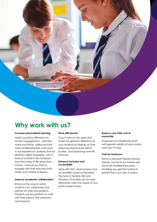

## **Why work with us?**

#### **Increase personalised learning**

Make a positive difference to student engagement – and find more innovative, varied and rich ways of delivering the curriculum. In our experience, students find our platform highly engaging - with a level of control in the classroom that they enjoy in life away from school - and use our tools to engage with their teachers both inside and outside of lessons.

### **Improve academic collaboration**

Enhance the ways in which students can collaborate and partner on tasks and projects. Students use our platform to work with their peers in the classroom and beyond.

#### **Drive efficiencies**

Focus more on the areas that make the greatest difference to your students by freeing up time, reducing the low-level admin burden, and improving work-life balance.

#### **Enhance inclusion and accessibility**

Work with OLC, and inclusion and accessibility come as standard. The tools in Outlook 365 and Windows 10 enable you to more effectively meet the needs of your entire student body.

#### **Reduce your total cost of ownership**

Empower your leadership team with greater visibility of and control over your IT costs.

#### **Train for tomorrow**

We're a Microsoft Global Training Partner, and all of our trainers are Microsoft Certified Educators, enabling you get the maximum benefit from your new IT system.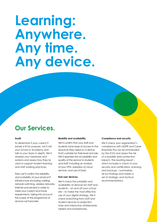# **Learning: Anywhere. Any time. Any device.**

### **Our Services.**

#### **Audit**

To determine if your current IT estate is fit for purpose, we'll visit your school or Academy and talk to your team in depth. We'll analyse your hardware and systems and assess how they're used to support student learning and staff working practices.

Then we'll confirm the reliability and scalability of your physical IT infrastructure (including cabling, network switching, wireless networks, internet and servers) in order to meet your current and future requirements, taking into account the scope of the programme of services we'll provide.

#### **Mobility and availability**

We'll confirm that your staff and students have ease of access to the resources they need on a device that's suitable for their level and role. We'll appraise the accessibility and quality of the service to students and staff, including an analysis of your VPN, adoption of cloud services, and use of SaaS.

#### **End user devices**

We'll check the suitability and availability of devices for staff and students – on and off your school site – to make the most effective use of your digital strategy. We'll check everything from staff and student devices to projection tools and interactive whiteboards, tablets and smartphones.

#### **Compliance and security**

We'll check your organisation's compliance with GDPR and Cyber Essentials Plus (as recommended by the ICO) and assess the risk of a possible data protection breach. The resulting report – which includes a check of your security and certification, licensing and backups – summarises all our findings and makes a set of strategic and tactical recommendations.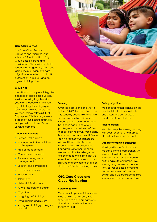#### **Core Cloud Service**

Our Core Cloud Service upgrades and migrates your school's IT functionality to fully Cloud-based storage and applications. This service includes tenancy management; Azure and Office 365 Management; data migration; education portal; MIS automation; back-ups and an agreed training plan.

#### **Cloud Plus**

Cloud Plus is a complete, integrated package of cloud-based EdTech services. Working together with you, we'll produce a full five-year digital strategy, including a plan for IT expenditure, to ensure that your technology estate is fully fit for purpose. We'll manage every aspect of your IT estate and work with you in line with strict Service Level Agreements.

#### **Cloud Plus includes:**

- **•** Service Desk support
- **•** Management of technicians and engineers
- **•** Project management
- **•** Change management
- **•** Software configuration management
- **•** Security and compliance
- **•** License management
- **•** Procurement
- **•** Telephony
- **•** Network infrastructure
- **•** Future research and design
- **•** Migration
- **•** On-going staff training
- **•** Data backup and restore
- **•** An agreed training package for each site.

#### **Training**

Over the past year alone we've trained 14,000 teachers from over 350 schools, academies and third sector organisations. So whether it comes to you on a standalone basis or as part of one of our packages, you can be confident that our training is truly world class. Not only are we a Microsoft Global Training Partner; our trainers are Microsoft Innovative Educator Experts and Microsoft Certified Educators. As former teachers, we use our skills, knowledge and experience to make sure that we meet the individual needs of your staff, no matter where they are on their own EdTech learning journey.

### **OLC Core Cloud and Cloud Plus Training**

#### **Before migration**

We work with your staff to explain what's going to happen, what they need to do to prepare, and then show them how the new system will look.

#### **During migration**

We conduct further training on the new tools that will be available, and ensure the personalised handover of staff devices.

#### **After migration**

We offer bespoke training, working with your school's SLT to map out all the key topics and content.

#### **Standalone training packages**

Working with your Senior Leaders, we can assemble comprehensive training plans to fit exactly what you need. From refresher courses on the basics to comprehensive training programmes across your Trust, as well as bespoke training pathways for key staff, we can design and build packages to plug your gaps and raise your skill levels.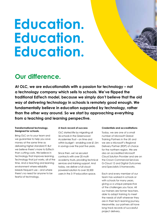# **Education. Education. Education.**

## **Our difference.**

**At OLC, we are educationalists with a passion for technology – not a technology company which sells to schools. We've flipped the traditional EdTech model, because we simply don't believe that the old way of delivering technology in schools is remotely good enough. We fundamentally believe in education supported by technology, rather than the other way around. So we start by approaching everything from a teaching and learning perspective.**

#### **Transformational technology. Designed for schools.**

Bring OLC on to your team and we guarantee to help you save money at the same time as delivering higher standard IT. But we believe there's more to EdTech than cutting costs. We believe in technology that improves learning. Technology that just works, all of the time. And a teaching and learning environment where reliability breeds frequent use – and where there's no need for anyone to be fearful of technology.

#### **A track record of success**

OLC started life by migrating all 36 schools in the Greenwood Academies Trust – on time and within budget – enabling over £1.5m in savings over the past five years.

Since then, we've secured contracts with over 20 multiacademy trusts, providing technical services and training support. And today, we deliver a full cloudpowered solution to over 32,500 users in the 3-19 education space.

#### **Credentials and accreditations**

Today, we are one of a small number of Microsoft Global Training Partners in the UK and we are a Microsoft's Regional Delivery Partner (RDP) of choice for the northern region. We are also an accredited Microsoft Cloud Solution Provider and are on the Crown Commercial Services G-Cloud 12 and Digital Outcomes and Specialists 5 frameworks.

Each and every member of our team has worked in schools or with schools for many years, giving us a unique perspective of the challenges you face. All our trainers are former teachers, able to adapt training to meet the needs of staff wherever they are in their tech learning journey. Meanwhile, our partners all have long track records of successful project delivery.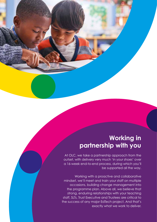## **Working in partnership with you**

At OLC, we take a partnership approach from the outset, with delivery very much 'in your shoes' over a 16-week end-to-end process, during which you'll be supported all the way.

Working with a proactive and collaborative mindset, we'll meet and train your staff on multiple occasions, building change management into the programme plan. Above all, we believe that strong, enduring relationships with your teaching staff, SLTs, Trust Executive and Trustees are critical to the success of any major EdTech project. And that's exactly what we work to deliver.